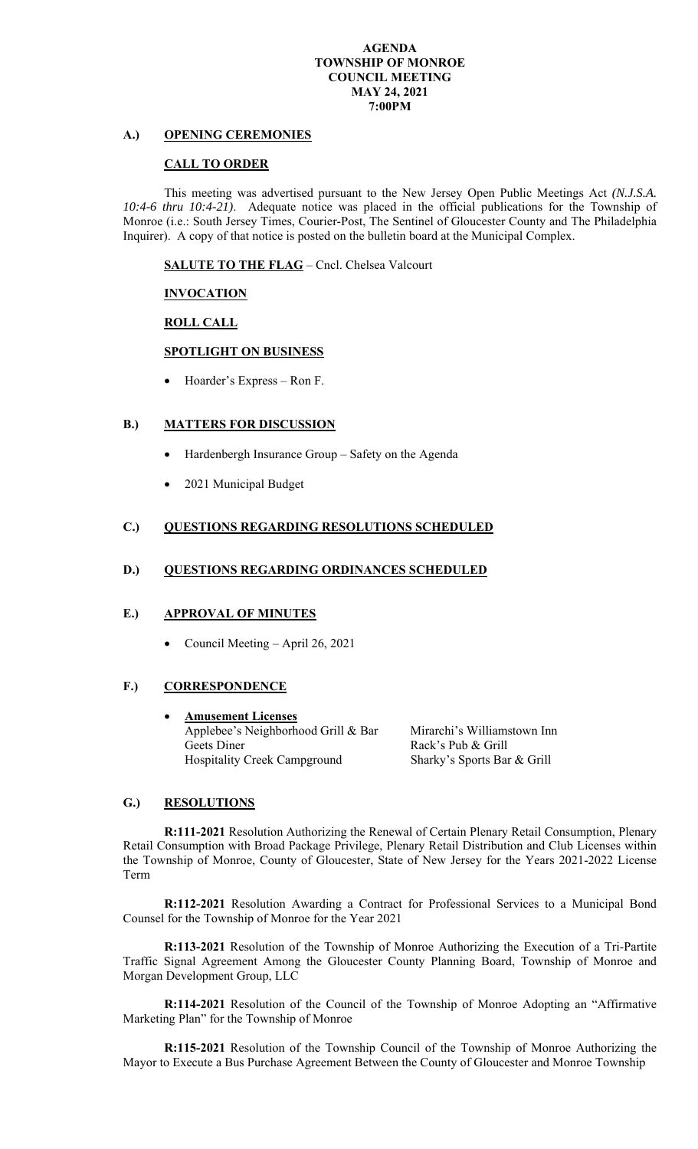#### **AGENDA TOWNSHIP OF MONROE COUNCIL MEETING MAY 24, 2021 7:00PM**

# **A.) OPENING CEREMONIES**

#### **CALL TO ORDER**

This meeting was advertised pursuant to the New Jersey Open Public Meetings Act *(N.J.S.A. 10:4-6 thru 10:4-21)*.Adequate notice was placed in the official publications for the Township of Monroe (i.e.: South Jersey Times, Courier-Post, The Sentinel of Gloucester County and The Philadelphia Inquirer). A copy of that notice is posted on the bulletin board at the Municipal Complex.

**SALUTE TO THE FLAG** – Cncl. Chelsea Valcourt

## **INVOCATION**

 **ROLL CALL** 

### **SPOTLIGHT ON BUSINESS**

Hoarder's Express – Ron F.

## **B.) MATTERS FOR DISCUSSION**

- Hardenbergh Insurance Group Safety on the Agenda
- 2021 Municipal Budget

### **C.) QUESTIONS REGARDING RESOLUTIONS SCHEDULED**

### **D.) QUESTIONS REGARDING ORDINANCES SCHEDULED**

### **E.) APPROVAL OF MINUTES**

Council Meeting – April 26, 2021

## **F.) CORRESPONDENCE**

 **Amusement Licenses**  Applebee's Neighborhood Grill & Bar Mirarchi's Williamstown Inn Geets Diner Rack's Pub & Grill Hospitality Creek Campground Sharky's Sports Bar & Grill

## **G.) RESOLUTIONS**

**R:111-2021** Resolution Authorizing the Renewal of Certain Plenary Retail Consumption, Plenary Retail Consumption with Broad Package Privilege, Plenary Retail Distribution and Club Licenses within the Township of Monroe, County of Gloucester, State of New Jersey for the Years 2021-2022 License Term

**R:112-2021** Resolution Awarding a Contract for Professional Services to a Municipal Bond Counsel for the Township of Monroe for the Year 2021

**R:113-2021** Resolution of the Township of Monroe Authorizing the Execution of a Tri-Partite Traffic Signal Agreement Among the Gloucester County Planning Board, Township of Monroe and Morgan Development Group, LLC

**R:114-2021** Resolution of the Council of the Township of Monroe Adopting an "Affirmative Marketing Plan" for the Township of Monroe

**R:115-2021** Resolution of the Township Council of the Township of Monroe Authorizing the Mayor to Execute a Bus Purchase Agreement Between the County of Gloucester and Monroe Township